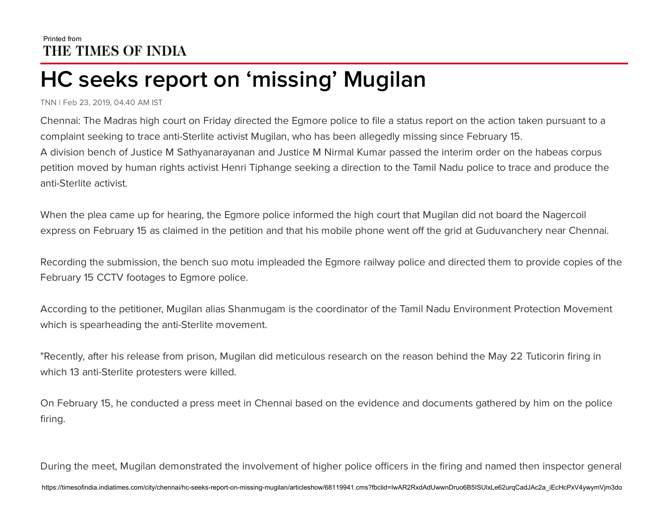## Printed from THE TIMES OF INDIA

## HC seeks report on 'missing' Mugilan

TNN | Feb 23, 2019, 04.40 AM IST

Chennai: The Madras high court on Friday directed the Egmore police to file a status report on the action taken pursuant to a complaint seeking to trace anti-Sterlite activist Mugilan, who has been allegedly missing since February 15. A division bench of Justice M Sathyanarayanan and Justice M Nirmal Kumar passed the interim order on the habeas corpus petition moved by human rights activist Henri Tiphange seeking a direction to the Tamil Nadu police to trace and produce the anti-Sterlite activist.

When the plea came up for hearing, the Egmore police informed the high court that Mugilan did not board the Nagercoil express on February 15 as claimed in the petition and that his mobile phone went off the grid at Guduvanchery near Chennai.

Recording the submission, the bench suo motu impleaded the Egmore railway police and directed them to provide copies of the February 15 CCTV footages to Egmore police.

According to the petitioner, Mugilan alias Shanmugam is the coordinator of the Tamil Nadu Environment Protection Movement which is spearheading the anti-Sterlite movement.

"Recently, after his release from prison, Mugilan did meticulous research on the reason behind the May 22 Tuticorin firing in which 13 anti-Sterlite protesters were killed.

On February 15, he conducted a press meet in Chennai based on the evidence and documents gathered by him on the police firing.

During the meet, Mugilan demonstrated the involvement of higher police officers in the firing and named then inspector general https://timesofindia.indiatimes.com/city/chennai/hc-seeks-report-on-missing-mugilan/articleshow/68119941.cms?fbclid=IwAR2RxdAdUwwnDruo6B5ISUlxLe62urqCadJAc2a\_iEcHcPxV4ywymVjm3do